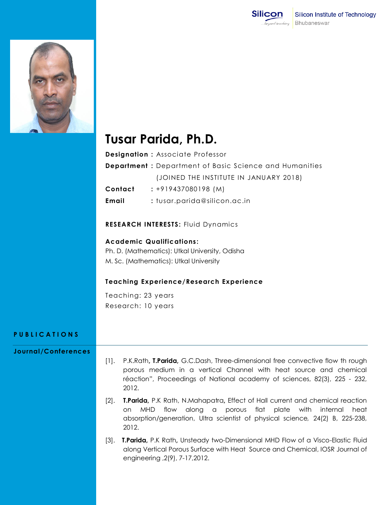



# **Tusar Parida, Ph.D.**

**Designation :** Associate Professor

**Department :** Department of Basic Science and Humanities (JOINED THE INSTITUTE IN JANUARY 2018)

**Contact :** +919437080198 (M)

**Email :** tusar.parida@silicon.ac.in

**RESEARCH INTERESTS:** Fluid Dynamics

### **Academic Qualifications :**

Ph. D. (Mathematics): Utkal University, Odisha M. Sc. (Mathematics): Utkal University

### **Teaching Experience/Research Experience**

Teaching: 23 years Research: 10 years

## **P U B L I C A T I O N S**

### **Journal/Conferences**

- [1]. P.K.Rath**, T.Parida,** G.C.Dash, Three-dimensional free convective flow th rough porous medium in a vertical Channel with heat source and chemical réaction", Proceedings of National academy of sciences, 82(3), 225 - 232, 2012.
- [2]. **T.Parida,** P.K Rath, N.Mahapatra**,** Effect of Hall current and chemical reaction on MHD flow along a porous flat plate with internal heat absorption/generation, Ultra scientist of physical science*,* 24(2) B, 225-238, 2012.
- [3]. **T.Parida,** P.K Rath**,** Unsteady two-Dimensional MHD Flow of a Visco-Elastic Fluid along Vertical Porous Surface with Heat Source and Chemical, IOSR Journal of engineering ,2(9), 7-17,2012.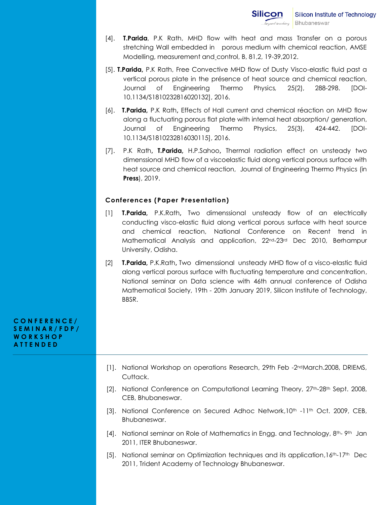- [4]. **T.Parida**, P.K Rath, MHD flow with heat and mass Transfer on a porous stretching Wall embedded in porous medium with chemical reaction, AMSE Modelling, measurement and control, B, 81,2, 19-39,2012.
- [5]. **T.Parida,** P.K Rath, Free Convective MHD flow of Dusty Visco-elastic fluid past a vertical porous plate in the présence of heat source and chemical reaction, Journal of Engineering Thermo Physics*,* 25(2), 288-298. [DOI-10.1134/S1810232816020132], 2016.
- [6]. **T.Parida,** P.K Rath**,** Effects of Hall current and chemical réaction on MHD flow along a fluctuating porous flat plate with internal heat absorption/ generation, Journal of Engineering Thermo Physics, 25(3), 424-442. [DOI-10.1134/S1810232816030115], 2016.
- [7]. P.K Rath**, T.Parida,** H.P.Sahoo**,** Thermal radiation effect on unsteady two dimenssional MHD flow of a viscoelastic fluid along vertical porous surface with heat source and chemical reaction, Journal of Engineering Thermo Physics (in **Press**), 2019.

#### **Conferences (Paper Presentation)**

- [1] **T.Parida,** P.K.Rath**,** Two dimenssional unsteady flow of an electrically conducting visco-elastic fluid along vertical porous surface with heat source and chemical reaction, National Conference on Recent trend in Mathematical Analysis and application, 22nd-23rd Dec 2010, Berhampur University, Odisha.
- [2] **T.Parida,** P.K.Rath**,** Two dimenssional unsteady MHD flow of a visco-elastic fluid along vertical porous surface with fluctuating temperature and concentration, National seminar on Data science with 46th annual conference of Odisha Mathematical Society, 19th - 20th January 2019, Silicon Institute of Technology, BBSR.

#### **C O N F E R E N C E / S E M I N A R / F D P / W O R K S H O P A T T E N D E D**

- [1]. National Workshop on operations Research, 29th Feb -2ndMarch.2008, DRIEMS, Cuttack.
- [2]. National Conference on Computational Learning Theory, 27th-28th Sept. 2008, CEB, Bhubaneswar.
- [3]. National Conference on Secured Adhoc Network,10<sup>th</sup> -11<sup>th</sup> Oct. 2009, CEB, Bhubaneswar.
- [4]. National seminar on Role of Mathematics in Engg. and Technology, 8th- 9th Jan 2011, ITER Bhubaneswar.
- [5]. National seminar on Optimization techniques and its application,16th-17th Dec 2011, Trident Academy of Technology Bhubaneswar.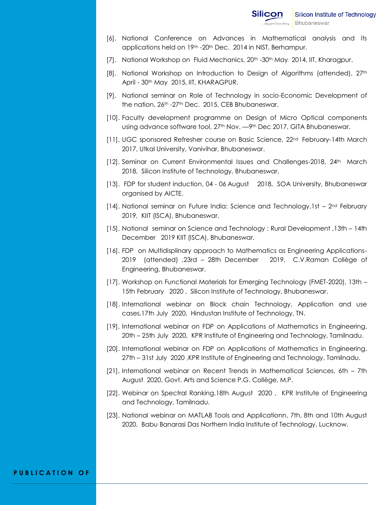- [6]. National Conference on Advances in Mathematical analysis and its applications held on 19th -20th Dec. 2014 in NIST, Berhampur.
- [7]. National Workshop on Fluid Mechanics, 20<sup>th</sup> -30<sup>th</sup> May 2014, IIT, Kharagpur.
- [8]. National Workshop on Introduction to Design of Algorithms (attended), 27<sup>th</sup> April - 30th May 2015, IIT, KHARAGPUR.
- [9]. National seminar on Role of Technology in socio-Economic Development of the nation, 26th -27th Dec. 2015, CEB Bhubaneswar.
- [10]. Faculty development programme on Design of Micro Optical components using advance software tool, 27<sup>th</sup> Nov. - 9<sup>th</sup> Dec 2017, GITA Bhubaneswar.
- [11]. UGC sponsored Refresher course on Basic Science, 22<sup>nd</sup> February-14th March 2017, Utkal University, Vanivihar, Bhubaneswar.
- [12]. Seminar on Current Environmental Issues and Challenges-2018, 24th March 2018, Silicon Institute of Technology, Bhubaneswar.
- [13]. FDP for student induction, 04 06 August 2018, SOA University, Bhubaneswar organised by AICTE.
- [14]. National seminar on Future India: Science and Technology, 1st  $-2^{nd}$  February 2019, KIIT (ISCA), Bhubaneswar.
- [15]. National seminar on Science and Technology : Rural Development ,13th 14th December 2019 KIIT (ISCA), Bhubaneswar.
- [16]. FDP on Multidisplinary approach to Mathematics as Engineering Applications-2019 (attended) ,23rd – 28th December 2019, C.V.Raman Collège of Engineering, Bhubaneswar.
- [17]. Workshop on Functional Materials for Emerging Technology (FMET-2020), 13th 15th February 2020 , Silicon Institute of Technology, Bhubaneswar.
- [18]. International webinar on Block chain Technology, Application and use cases,17th July 2020, Hindustan Institute of Technology, TN.
- [19]. International webinar on FDP on Applications of Mathematics in Engineering, 20th – 25th July 2020, KPR Institute of Engineering and Technology, Tamilnadu.
- [20]. International webinar on FDP on Applications of Mathematics in Engineering, 27th – 31st July 2020 ,KPR Institute of Engineering and Technology, Tamilnadu.
- [21]. International webinar on Recent Trends in Mathematical Sciences, 6th 7th August 2020, Govt. Arts and Science P.G. Collège, M.P.
- [22]. Webinar on Spectral Ranking,18th August 2020 , KPR Institute of Engineering and Technology, Tamilnadu.
- [23]. National webinar on MATLAB Tools and Applicationn, 7th, 8th and 10th August 2020, Babu Banarasi Das Northern India Institute of Technology, Lucknow.

#### **P U B L I C A T I O N O F**